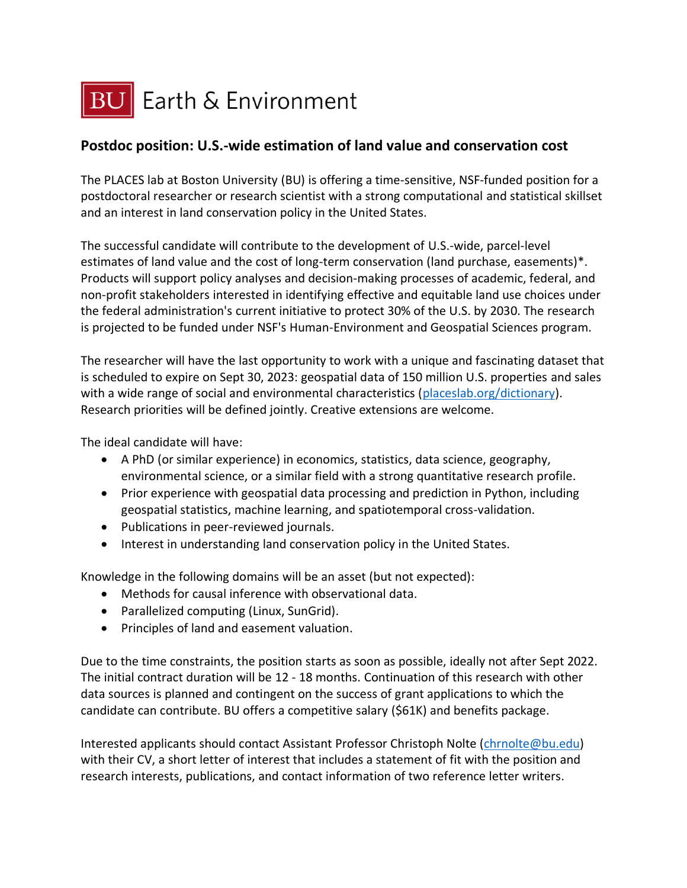

## **Postdoc position: U.S.-wide estimation of land value and conservation cost**

The PLACES lab at Boston University (BU) is offering a time-sensitive, NSF-funded position for a postdoctoral researcher or research scientist with a strong computational and statistical skillset and an interest in land conservation policy in the United States.

The successful candidate will contribute to the development of U.S.-wide, parcel-level estimates of land value and the cost of long-term conservation (land purchase, easements)\*. Products will support policy analyses and decision-making processes of academic, federal, and non-profit stakeholders interested in identifying effective and equitable land use choices under the federal administration's current initiative to protect 30% of the U.S. by 2030. The research is projected to be funded under NSF's Human-Environment and Geospatial Sciences program.

The researcher will have the last opportunity to work with a unique and fascinating dataset that is scheduled to expire on Sept 30, 2023: geospatial data of 150 million U.S. properties and sales with a wide range of social and environmental characteristics [\(placeslab.org/dictionary\)](http://placeslab.org/dictionary). Research priorities will be defined jointly. Creative extensions are welcome.

The ideal candidate will have:

- A PhD (or similar experience) in economics, statistics, data science, geography, environmental science, or a similar field with a strong quantitative research profile.
- Prior experience with geospatial data processing and prediction in Python, including geospatial statistics, machine learning, and spatiotemporal cross-validation.
- Publications in peer-reviewed journals.
- Interest in understanding land conservation policy in the United States.

Knowledge in the following domains will be an asset (but not expected):

- Methods for causal inference with observational data.
- Parallelized computing (Linux, SunGrid).
- Principles of land and easement valuation.

Due to the time constraints, the position starts as soon as possible, ideally not after Sept 2022. The initial contract duration will be 12 - 18 months. Continuation of this research with other data sources is planned and contingent on the success of grant applications to which the candidate can contribute. BU offers a competitive salary (\$61K) and benefits package.

Interested applicants should contact Assistant Professor Christoph Nolte [\(chrnolte@bu.edu\)](mailto:chrnolte@bu.edu) with their CV, a short letter of interest that includes a statement of fit with the position and research interests, publications, and contact information of two reference letter writers.